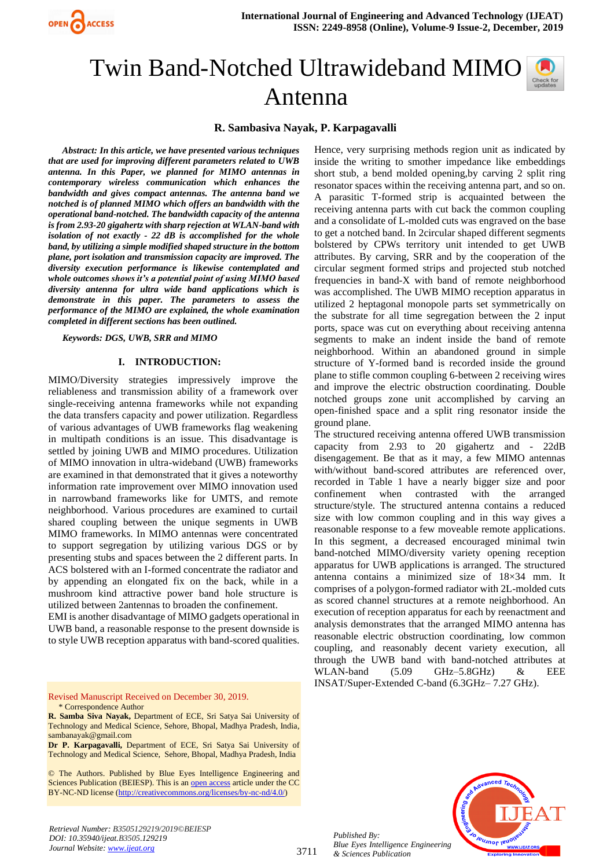

# Twin Band-Notched Ultrawideband MIMO Antenna

# **R. Sambasiva Nayak, P. Karpagavalli**

*Abstract: In this article, we have presented various techniques that are used for improving different parameters related to UWB antenna. In this Paper, we planned for MIMO antennas in contemporary wireless communication which enhances the bandwidth and gives compact antennas. The antenna band we notched is of planned MIMO which offers an bandwidth with the operational band-notched. The bandwidth capacity of the antenna is from 2.93-20 gigahertz with sharp rejection at WLAN-band with isolation of not exactly - 22 dB is accomplished for the whole band, by utilizing a simple modified shaped structure in the bottom plane, port isolation and transmission capacity are improved. The diversity execution performance is likewise contemplated and whole outcomes shows it's a potential point of using MIMO based diversity antenna for ultra wide band applications which is demonstrate in this paper. The parameters to assess the performance of the MIMO are explained, the whole examination completed in different sections has been outlined.*

*Keywords: DGS, UWB, SRR and MIMO*

#### **I. INTRODUCTION:**

MIMO/Diversity strategies impressively improve the reliableness and transmission ability of a framework over single-receiving antenna frameworks while not expanding the data transfers capacity and power utilization. Regardless of various advantages of UWB frameworks flag weakening in multipath conditions is an issue. This disadvantage is settled by joining UWB and MIMO procedures. Utilization of MIMO innovation in ultra-wideband (UWB) frameworks are examined in that demonstrated that it gives a noteworthy information rate improvement over MIMO innovation used in narrowband frameworks like for UMTS, and remote neighborhood. Various procedures are examined to curtail shared coupling between the unique segments in UWB MIMO frameworks. In MIMO antennas were concentrated to support segregation by utilizing various DGS or by presenting stubs and spaces between the 2 different parts. In ACS bolstered with an I-formed concentrate the radiator and by appending an elongated fix on the back, while in a mushroom kind attractive power band hole structure is utilized between 2antennas to broaden the confinement.

EMI is another disadvantage of MIMO gadgets operational in UWB band, a reasonable response to the present downside is to style UWB reception apparatus with band-scored qualities.

Revised Manuscript Received on December 30, 2019. \* Correspondence Author

**R. Samba Siva Nayak,** Department of ECE, Sri Satya Sai University of Technology and Medical Science, Sehore, Bhopal, Madhya Pradesh, India, sambanayak@gmail.com

**Dr P. Karpagavalli,** Department of ECE, Sri Satya Sai University of Technology and Medical Science, Sehore, Bhopal, Madhya Pradesh, India

© The Authors. Published by Blue Eyes Intelligence Engineering and Sciences Publication (BEIESP). This is a[n open access](https://www.openaccess.nl/en/open-publications) article under the CC BY-NC-ND license [\(http://creativecommons.org/licenses/by-nc-nd/4.0/\)](http://creativecommons.org/licenses/by-nc-nd/4.0/)

*Retrieval Number: B3505129219/2019©BEIESP DOI: 10.35940/ijeat.B3505.129219 Journal Website[: www.ijeat.org](http://www.ijeat.org/)*

Hence, very surprising methods region unit as indicated by inside the writing to smother impedance like embeddings short stub, a bend molded opening,by carving 2 split ring resonator spaces within the receiving antenna part, and so on. A parasitic T-formed strip is acquainted between the receiving antenna parts with cut back the common coupling and a consolidate of L-molded cuts was engraved on the base to get a notched band. In 2circular shaped different segments bolstered by CPWs territory unit intended to get UWB attributes. By carving, SRR and by the cooperation of the circular segment formed strips and projected stub notched frequencies in band-X with band of remote neighborhood was accomplished. The UWB MIMO reception apparatus in utilized 2 heptagonal monopole parts set symmetrically on the substrate for all time segregation between the 2 input ports, space was cut on everything about receiving antenna segments to make an indent inside the band of remote neighborhood. Within an abandoned ground in simple structure of Y-formed band is recorded inside the ground plane to stifle common coupling 6-between 2 receiving wires and improve the electric obstruction coordinating. Double notched groups zone unit accomplished by carving an open-finished space and a split ring resonator inside the ground plane.

The structured receiving antenna offered UWB transmission capacity from 2.93 to 20 gigahertz and - 22dB disengagement. Be that as it may, a few MIMO antennas with/without band-scored attributes are referenced over, recorded in Table 1 have a nearly bigger size and poor confinement when contrasted with the arranged structure/style. The structured antenna contains a reduced size with low common coupling and in this way gives a reasonable response to a few moveable remote applications. In this segment, a decreased encouraged minimal twin band-notched MIMO/diversity variety opening reception apparatus for UWB applications is arranged. The structured antenna contains a minimized size of 18×34 mm. It comprises of a polygon-formed radiator with 2L-molded cuts as scored channel structures at a remote neighborhood. An execution of reception apparatus for each by reenactment and analysis demonstrates that the arranged MIMO antenna has reasonable electric obstruction coordinating, low common coupling, and reasonably decent variety execution, all through the UWB band with band-notched attributes at WLAN-band (5.09 GHz–5.8GHz) & EEE INSAT/Super-Extended C-band (6.3GHz– 7.27 GHz).



*Published By: Blue Eyes Intelligence Engineering & Sciences Publication* 

3711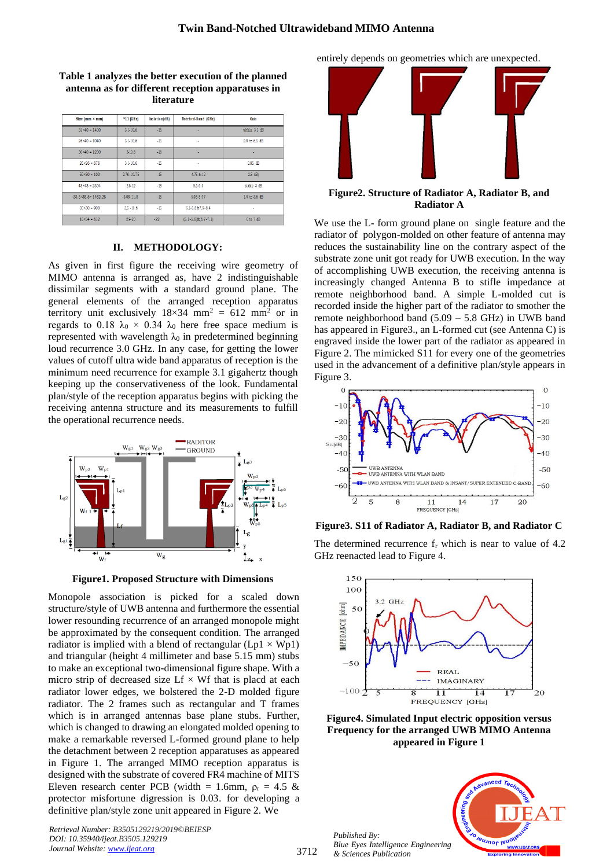| Size $(nm \times mn)$        | $$11$ (GHz)   | Isolation(dB) | Notched-Band (GHz)           | Gain          |
|------------------------------|---------------|---------------|------------------------------|---------------|
| $35×40 = 1400$               | $3.1 - 10.6$  | $-16$         | ٠                            | within 3.1 dB |
| $26×40 = 1040$               | $3.1 - 10.6$  | $-15$         | ٠                            | 0.9 to 6.5 dB |
| $30×40 = 1200$               | $3 - 10.6$    | $-16$         | ٠                            | ٠             |
| $26×26 = 676$                | $3.1 - 10.6$  | $-15$         | ٠                            | $0.85$ dB     |
| $50 \times 50 = 100$         | 2.76-10.75    | $-15$         | 4.75-6.12                    | 2.8 dB)       |
| $48 \times 48 = 2304$        | $2.5 - 12$    | $-18$         | $5.1 - 6.0$                  | stable 3 dB   |
| $38.5 \times 38.5 = 1482.25$ | $3.08 - 11.8$ | $-15$         | 5.03-5.97                    | 1.4 to 3.6 dB |
| $30\times30 = 900$           | $3.5 - 10.6$  | $-15$         | 5.1-5.8&7.9-8.4              | ٠             |
| $18 \times 34 = 612$         | $2.9 - 20$    | $-22$         | $(5.1 - 5.8) \& (6.7 - 7.1)$ | 0 to 7 dB     |

## **Table 1 analyzes the better execution of the planned antenna as for different reception apparatuses in literature**

## **II. METHODOLOGY:**

As given in first figure the receiving wire geometry of MIMO antenna is arranged as, have 2 indistinguishable dissimilar segments with a standard ground plane. The general elements of the arranged reception apparatus territory unit exclusively  $18\times34$  mm<sup>2</sup> = 612 mm<sup>2</sup> or in regards to 0.18  $\lambda_0 \times 0.34$   $\lambda_0$  here free space medium is represented with wavelength  $\lambda_0$  in predetermined beginning loud recurrence 3.0 GHz. In any case, for getting the lower values of cutoff ultra wide band apparatus of reception is the minimum need recurrence for example 3.1 gigahertz though keeping up the conservativeness of the look. Fundamental plan/style of the reception apparatus begins with picking the receiving antenna structure and its measurements to fulfill the operational recurrence needs.



**Figure1. Proposed Structure with Dimensions**

Monopole association is picked for a scaled down structure/style of UWB antenna and furthermore the essential lower resounding recurrence of an arranged monopole might be approximated by the consequent condition. The arranged radiator is implied with a blend of rectangular  $(Lp1 \times Wp1)$ and triangular (height 4 millimeter and base 5.15 mm) stubs to make an exceptional two-dimensional figure shape. With a micro strip of decreased size  $Lf \times Wf$  that is placd at each radiator lower edges, we bolstered the 2-D molded figure radiator. The 2 frames such as rectangular and T frames which is in arranged antennas base plane stubs. Further, which is changed to drawing an elongated molded opening to make a remarkable reversed L-formed ground plane to help the detachment between 2 reception apparatuses as appeared in Figure 1. The arranged MIMO reception apparatus is designed with the substrate of covered FR4 machine of MITS Eleven research center PCB (width = 1.6mm,  $\rho_r = 4.5 \&$ protector misfortune digression is 0.03. for developing a definitive plan/style zone unit appeared in Figure 2. We

*Retrieval Number: B3505129219/2019©BEIESP DOI: 10.35940/ijeat.B3505.129219 Journal Website[: www.ijeat.org](http://www.ijeat.org/)*

entirely depends on geometries which are unexpected.



**Figure2. Structure of Radiator A, Radiator B, and Radiator A**

We use the L- form ground plane on single feature and the radiator of polygon-molded on other feature of antenna may reduces the sustainability line on the contrary aspect of the substrate zone unit got ready for UWB execution. In the way of accomplishing UWB execution, the receiving antenna is increasingly changed Antenna B to stifle impedance at remote neighborhood band. A simple L-molded cut is recorded inside the higher part of the radiator to smother the remote neighborhood band (5.09 – 5.8 GHz) in UWB band has appeared in Figure3., an L-formed cut (see Antenna C) is engraved inside the lower part of the radiator as appeared in Figure 2. The mimicked S11 for every one of the geometries used in the advancement of a definitive plan/style appears in Figure 3.



**Figure3. S11 of Radiator A, Radiator B, and Radiator C**

The determined recurrence f<sub>r</sub> which is near to value of 4.2 GHz reenacted lead to Figure 4.



**Figure4. Simulated Input electric opposition versus Frequency for the arranged UWB MIMO Antenna appeared in Figure 1** 



*Published By: Blue Eyes Intelligence Engineering & Sciences Publication*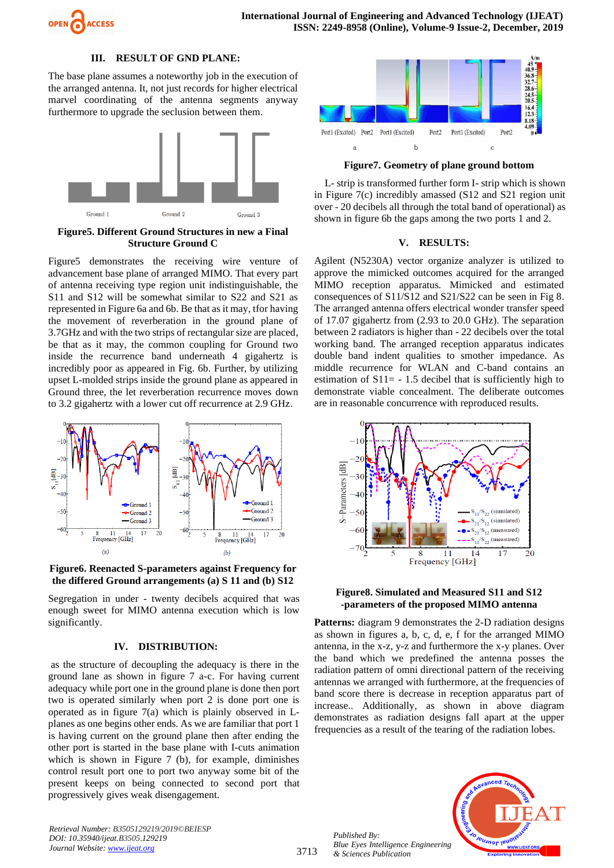

## **III. RESULT OF GND PLANE:**

The base plane assumes a noteworthy job in the execution of the arranged antenna. It, not just records for higher electrical marvel coordinating of the antenna segments anyway furthermore to upgrade the seclusion between them.



**Figure5. Different Ground Structures in new a Final Structure Ground C**

Figure5 demonstrates the receiving wire venture of advancement base plane of arranged MIMO. That every part of antenna receiving type region unit indistinguishable, the S11 and S12 will be somewhat similar to S22 and S21 as represented in Figure 6a and 6b. Be that as it may, tfor having the movement of reverberation in the ground plane of 3.7GHz and with the two strips of rectangular size are placed, be that as it may, the common coupling for Ground two inside the recurrence band underneath 4 gigahertz is incredibly poor as appeared in Fig. 6b. Further, by utilizing upset L-molded strips inside the ground plane as appeared in Ground three, the let reverberation recurrence moves down to 3.2 gigahertz with a lower cut off recurrence at 2.9 GHz.



**Figure6. Reenacted S-parameters against Frequency for the differed Ground arrangements (a) S 11 and (b) S12** 

Segregation in under - twenty decibels acquired that was enough sweet for MIMO antenna execution which is low significantly.

## **IV. DISTRIBUTION:**

as the structure of decoupling the adequacy is there in the ground lane as shown in figure 7 a-c. For having current adequacy while port one in the ground plane is done then port two is operated similarly when port 2 is done port one is operated as in figure 7(a) which is plainly observed in Lplanes as one begins other ends. As we are familiar that port 1 is having current on the ground plane then after ending the other port is started in the base plane with I-cuts animation which is shown in Figure 7 (b), for example, diminishes control result port one to port two anyway some bit of the present keeps on being connected to second port that progressively gives weak disengagement.

*Retrieval Number: B3505129219/2019©BEIESP DOI: 10.35940/ijeat.B3505.129219 Journal Website[: www.ijeat.org](http://www.ijeat.org/)*



**Figure7. Geometry of plane ground bottom**

L- strip is transformed further form I- strip which is shown in Figure 7(c) incredibly amassed (S12 and S21 region unit over - 20 decibels all through the total band of operational) as shown in figure 6b the gaps among the two ports 1 and 2.

## **V. RESULTS:**

Agilent (N5230A) vector organize analyzer is utilized to approve the mimicked outcomes acquired for the arranged MIMO reception apparatus. Mimicked and estimated consequences of S11/S12 and S21/S22 can be seen in Fig 8. The arranged antenna offers electrical wonder transfer speed of 17.07 gigahertz from (2.93 to 20.0 GHz). The separation between 2 radiators is higher than - 22 decibels over the total working band. The arranged reception apparatus indicates double band indent qualities to smother impedance. As middle recurrence for WLAN and C-band contains an estimation of  $S11 = -1.5$  decibel that is sufficiently high to demonstrate viable concealment. The deliberate outcomes are in reasonable concurrence with reproduced results.



### **Figure8. Simulated and Measured S11 and S12 -parameters of the proposed MIMO antenna**

Patterns: diagram 9 demonstrates the 2-D radiation designs as shown in figures a, b, c, d, e, f for the arranged MIMO antenna, in the x-z, y-z and furthermore the x-y planes. Over the band which we predefined the antenna posses the radiation pattern of omni directional pattern of the receiving antennas we arranged with furthermore, at the frequencies of band score there is decrease in reception apparatus part of increase.. Additionally, as shown in above diagram demonstrates as radiation designs fall apart at the upper frequencies as a result of the tearing of the radiation lobes.

*Published By: Blue Eyes Intelligence Engineering & Sciences Publication* 

3713

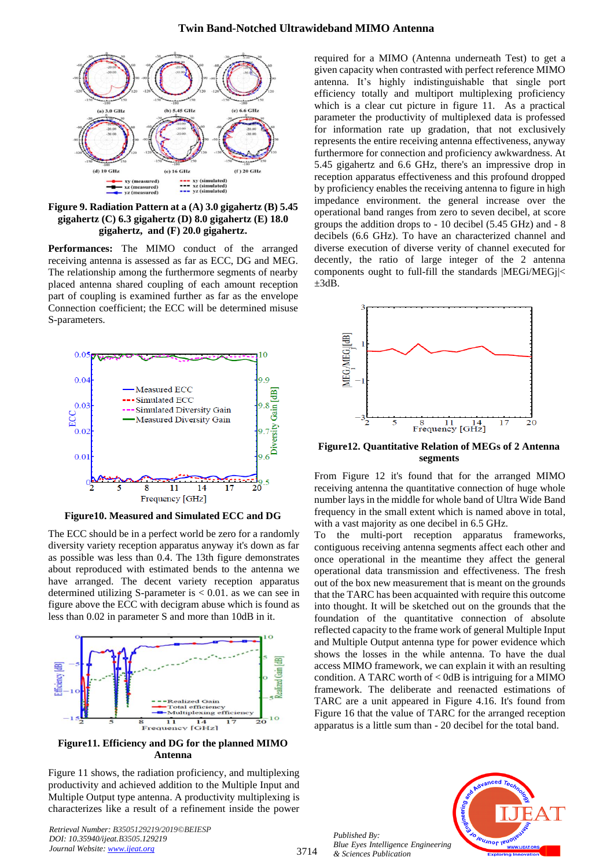

**Figure 9. Radiation Pattern at a (A) 3.0 gigahertz (B) 5.45 gigahertz (C) 6.3 gigahertz (D) 8.0 gigahertz (E) 18.0 gigahertz, and (F) 20.0 gigahertz.**

**Performances:** The MIMO conduct of the arranged receiving antenna is assessed as far as ECC, DG and MEG. The relationship among the furthermore segments of nearby placed antenna shared coupling of each amount reception part of coupling is examined further as far as the envelope Connection coefficient; the ECC will be determined misuse S-parameters.



**Figure10. Measured and Simulated ECC and DG**

The ECC should be in a perfect world be zero for a randomly diversity variety reception apparatus anyway it's down as far as possible was less than 0.4. The 13th figure demonstrates about reproduced with estimated bends to the antenna we have arranged. The decent variety reception apparatus determined utilizing S-parameter is  $< 0.01$ . as we can see in figure above the ECC with decigram abuse which is found as less than 0.02 in parameter S and more than 10dB in it.



**Figure11. Efficiency and DG for the planned MIMO Antenna**

Figure 11 shows, the radiation proficiency, and multiplexing productivity and achieved addition to the Multiple Input and Multiple Output type antenna. A productivity multiplexing is characterizes like a result of a refinement inside the power

*Retrieval Number: B3505129219/2019©BEIESP DOI: 10.35940/ijeat.B3505.129219 Journal Website[: www.ijeat.org](http://www.ijeat.org/)*

required for a MIMO (Antenna underneath Test) to get a given capacity when contrasted with perfect reference MIMO antenna. It's highly indistinguishable that single port efficiency totally and multiport multiplexing proficiency which is a clear cut picture in figure 11. As a practical parameter the productivity of multiplexed data is professed for information rate up gradation, that not exclusively represents the entire receiving antenna effectiveness, anyway furthermore for connection and proficiency awkwardness. At 5.45 gigahertz and 6.6 GHz, there's an impressive drop in reception apparatus effectiveness and this profound dropped by proficiency enables the receiving antenna to figure in high impedance environment. the general increase over the operational band ranges from zero to seven decibel, at score groups the addition drops to - 10 decibel (5.45 GHz) and - 8 decibels (6.6 GHz). To have an characterized channel and diverse execution of diverse verity of channel executed for decently, the ratio of large integer of the 2 antenna components ought to full-fill the standards |MEGi/MEGj|<  $\pm 3dB$ .



**Figure12. Quantitative Relation of MEGs of 2 Antenna segments** 

From Figure 12 it's found that for the arranged MIMO receiving antenna the quantitative connection of huge whole number lays in the middle for whole band of Ultra Wide Band frequency in the small extent which is named above in total, with a vast majority as one decibel in 6.5 GHz.

To the multi-port reception apparatus frameworks, contiguous receiving antenna segments affect each other and once operational in the meantime they affect the general operational data transmission and effectiveness. The fresh out of the box new measurement that is meant on the grounds that the TARC has been acquainted with require this outcome into thought. It will be sketched out on the grounds that the foundation of the quantitative connection of absolute reflected capacity to the frame work of general Multiple Input and Multiple Output antenna type for power evidence which shows the losses in the while antenna. To have the dual access MIMO framework, we can explain it with an resulting condition. A TARC worth of  $<$  0dB is intriguing for a MIMO framework. The deliberate and reenacted estimations of TARC are a unit appeared in Figure 4.16. It's found from Figure 16 that the value of TARC for the arranged reception apparatus is a little sum than - 20 decibel for the total band.



*Published By: Blue Eyes Intelligence Engineering & Sciences Publication*